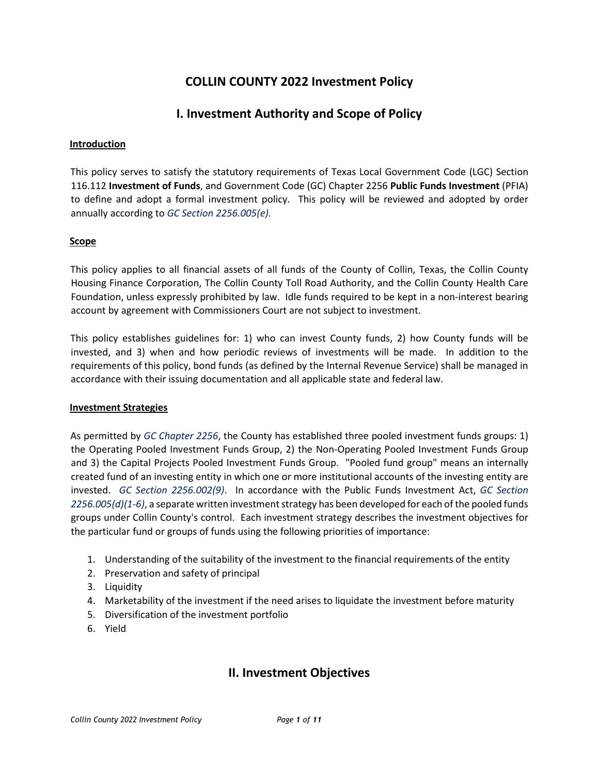# **COLLIN COUNTY 2022 Investment Policy**

## **I. Investment Authority and Scope of Policy**

#### **Introduction**

This policy serves to satisfy the statutory requirements of Texas Local Government Code (LGC) Section 116.112 **Investment of Funds**, and Government Code (GC) Chapter 2256 **Public Funds Investment** (PFIA) to define and adopt a formal investment policy. This policy will be reviewed and adopted by order annually according to *GC Section 2256.005(e).*

### **Scope**

This policy applies to all financial assets of all funds of the County of Collin, Texas, the Collin County Housing Finance Corporation, The Collin County Toll Road Authority, and the Collin County Health Care Foundation, unless expressly prohibited by law. Idle funds required to be kept in a non‐interest bearing account by agreement with Commissioners Court are not subject to investment.

This policy establishes guidelines for: 1) who can invest County funds, 2) how County funds will be invested, and 3) when and how periodic reviews of investments will be made. In addition to the requirements of this policy, bond funds (as defined by the Internal Revenue Service) shall be managed in accordance with their issuing documentation and all applicable state and federal law.

#### **Investment Strategies**

As permitted by *GC Chapter 2256*, the County has established three pooled investment funds groups: 1) the Operating Pooled Investment Funds Group, 2) the Non‐Operating Pooled Investment Funds Group and 3) the Capital Projects Pooled Investment Funds Group. "Pooled fund group" means an internally created fund of an investing entity in which one or more institutional accounts of the investing entity are invested. *GC Section 2256.002(9)*. In accordance with the Public Funds Investment Act, *GC Section 2256.005(d)(1‐6)*, a separate written investment strategy has been developed for each of the pooled funds groups under Collin County's control. Each investment strategy describes the investment objectives for the particular fund or groups of funds using the following priorities of importance:

- 1. Understanding of the suitability of the investment to the financial requirements of the entity
- 2. Preservation and safety of principal
- 3. Liquidity
- 4. Marketability of the investment if the need arises to liquidate the investment before maturity
- 5. Diversification of the investment portfolio
- 6. Yield

## **II. Investment Objectives**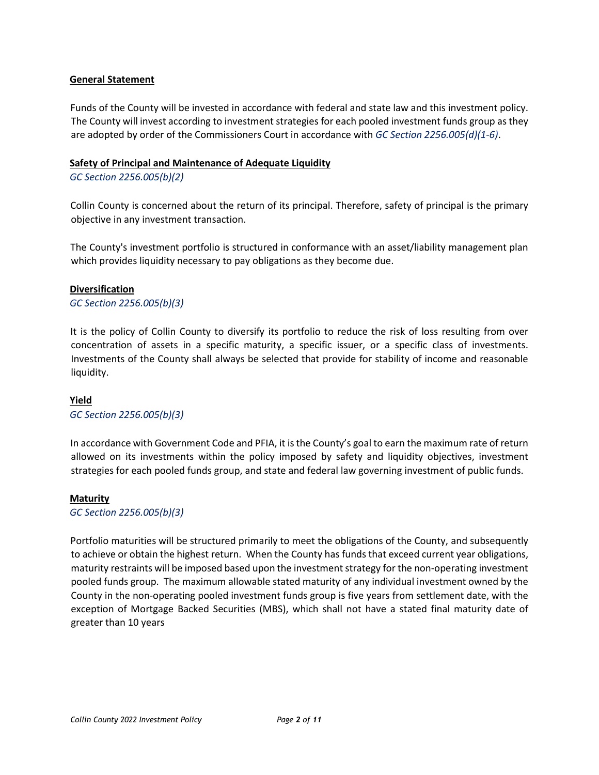#### **General Statement**

Funds of the County will be invested in accordance with federal and state law and this investment policy. The County will invest according to investment strategies for each pooled investment funds group as they are adopted by order of the Commissioners Court in accordance with *GC Section 2256.005(d)(1‐6)*.

#### **Safety of Principal and Maintenance of Adequate Liquidity**

#### *GC Section 2256.005(b)(2)*

Collin County is concerned about the return of its principal. Therefore, safety of principal is the primary objective in any investment transaction.

The County's investment portfolio is structured in conformance with an asset/liability management plan which provides liquidity necessary to pay obligations as they become due.

#### **Diversification**

*GC Section 2256.005(b)(3)* 

It is the policy of Collin County to diversify its portfolio to reduce the risk of loss resulting from over concentration of assets in a specific maturity, a specific issuer, or a specific class of investments. Investments of the County shall always be selected that provide for stability of income and reasonable liquidity.

#### **Yield**

#### *GC Section 2256.005(b)(3)*

In accordance with Government Code and PFIA, it is the County's goal to earn the maximum rate of return allowed on its investments within the policy imposed by safety and liquidity objectives, investment strategies for each pooled funds group, and state and federal law governing investment of public funds.

#### **Maturity**

*GC Section 2256.005(b)(3)* 

Portfolio maturities will be structured primarily to meet the obligations of the County, and subsequently to achieve or obtain the highest return. When the County has funds that exceed current year obligations, maturity restraints will be imposed based upon the investment strategy for the non‐operating investment pooled funds group. The maximum allowable stated maturity of any individual investment owned by the County in the non‐operating pooled investment funds group is five years from settlement date, with the exception of Mortgage Backed Securities (MBS), which shall not have a stated final maturity date of greater than 10 years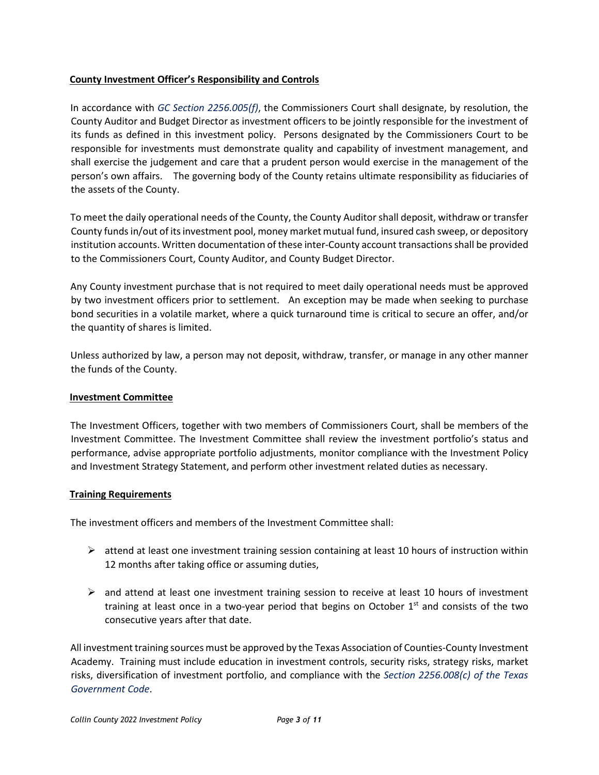### **County Investment Officer's Responsibility and Controls**

In accordance with *GC Section 2256.005(f)*, the Commissioners Court shall designate, by resolution, the County Auditor and Budget Director as investment officers to be jointly responsible for the investment of its funds as defined in this investment policy. Persons designated by the Commissioners Court to be responsible for investments must demonstrate quality and capability of investment management, and shall exercise the judgement and care that a prudent person would exercise in the management of the person's own affairs. The governing body of the County retains ultimate responsibility as fiduciaries of the assets of the County.

To meet the daily operational needs of the County, the County Auditor shall deposit, withdraw or transfer County funds in/out of its investment pool, money market mutual fund, insured cash sweep, or depository institution accounts. Written documentation of these inter‐County account transactions shall be provided to the Commissioners Court, County Auditor, and County Budget Director.

Any County investment purchase that is not required to meet daily operational needs must be approved by two investment officers prior to settlement. An exception may be made when seeking to purchase bond securities in a volatile market, where a quick turnaround time is critical to secure an offer, and/or the quantity of shares is limited.

Unless authorized by law, a person may not deposit, withdraw, transfer, or manage in any other manner the funds of the County.

### **Investment Committee**

The Investment Officers, together with two members of Commissioners Court, shall be members of the Investment Committee. The Investment Committee shall review the investment portfolio's status and performance, advise appropriate portfolio adjustments, monitor compliance with the Investment Policy and Investment Strategy Statement, and perform other investment related duties as necessary.

### **Training Requirements**

The investment officers and members of the Investment Committee shall:

- $\triangleright$  attend at least one investment training session containing at least 10 hours of instruction within 12 months after taking office or assuming duties,
- $\triangleright$  and attend at least one investment training session to receive at least 10 hours of investment training at least once in a two-year period that begins on October  $1<sup>st</sup>$  and consists of the two consecutive years after that date.

All investment training sources must be approved by the Texas Association of Counties‐County Investment Academy. Training must include education in investment controls, security risks, strategy risks, market risks, diversification of investment portfolio, and compliance with the *Section 2256.008(c) of the Texas Government Code*.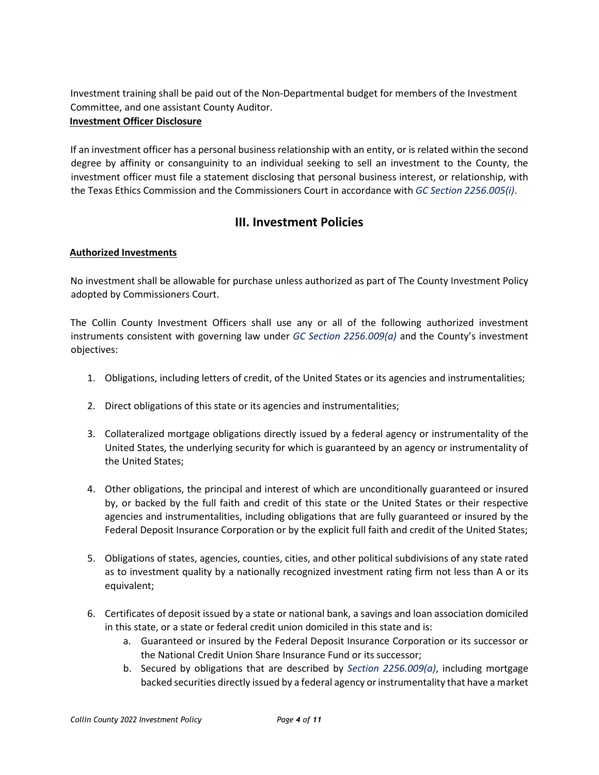Investment training shall be paid out of the Non‐Departmental budget for members of the Investment Committee, and one assistant County Auditor.

### **Investment Officer Disclosure**

If an investment officer has a personal business relationship with an entity, or is related within the second degree by affinity or consanguinity to an individual seeking to sell an investment to the County, the investment officer must file a statement disclosing that personal business interest, or relationship, with the Texas Ethics Commission and the Commissioners Court in accordance with *GC Section 2256.005(i)*.

# **III. Investment Policies**

## **Authorized Investments**

No investment shall be allowable for purchase unless authorized as part of The County Investment Policy adopted by Commissioners Court.

The Collin County Investment Officers shall use any or all of the following authorized investment instruments consistent with governing law under *GC Section 2256.009(a)* and the County's investment objectives:

- 1. Obligations, including letters of credit, of the United States or its agencies and instrumentalities;
- 2. Direct obligations of this state or its agencies and instrumentalities;
- 3. Collateralized mortgage obligations directly issued by a federal agency or instrumentality of the United States, the underlying security for which is guaranteed by an agency or instrumentality of the United States;
- 4. Other obligations, the principal and interest of which are unconditionally guaranteed or insured by, or backed by the full faith and credit of this state or the United States or their respective agencies and instrumentalities, including obligations that are fully guaranteed or insured by the Federal Deposit Insurance Corporation or by the explicit full faith and credit of the United States;
- 5. Obligations of states, agencies, counties, cities, and other political subdivisions of any state rated as to investment quality by a nationally recognized investment rating firm not less than A or its equivalent;
- 6. Certificates of deposit issued by a state or national bank, a savings and loan association domiciled in this state, or a state or federal credit union domiciled in this state and is:
	- a. Guaranteed or insured by the Federal Deposit Insurance Corporation or its successor or the National Credit Union Share Insurance Fund or its successor;
	- b. Secured by obligations that are described by *Section 2256.009(a)*, including mortgage backed securities directly issued by a federal agency or instrumentality that have a market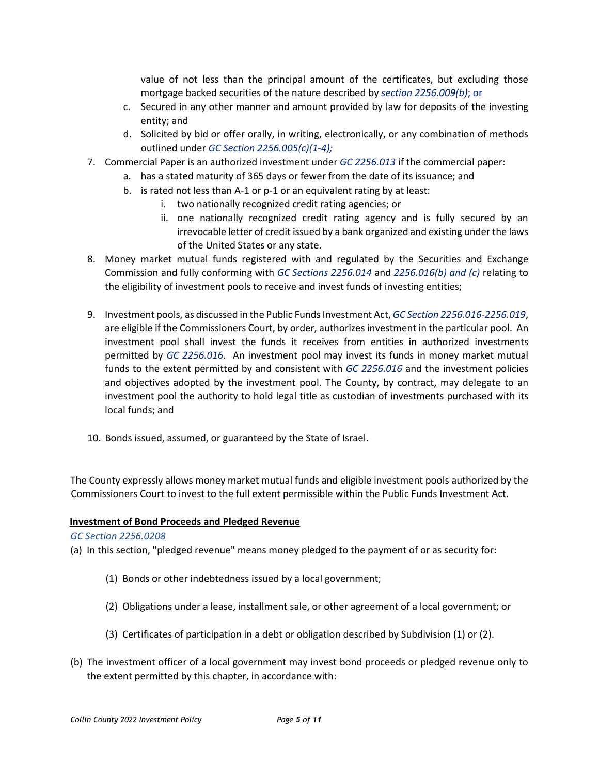value of not less than the principal amount of the certificates, but excluding those mortgage backed securities of the nature described by *section 2256.009(b)*; or

- c. Secured in any other manner and amount provided by law for deposits of the investing entity; and
- d. Solicited by bid or offer orally, in writing, electronically, or any combination of methods outlined under *GC Section 2256.005(c)(1‐4);*
- 7. Commercial Paper is an authorized investment under *GC 2256.013* if the commercial paper:
	- a. has a stated maturity of 365 days or fewer from the date of its issuance; and
		- b. is rated not less than A‐1 or p‐1 or an equivalent rating by at least:
			- i. two nationally recognized credit rating agencies; or
			- ii. one nationally recognized credit rating agency and is fully secured by an irrevocable letter of credit issued by a bank organized and existing under the laws of the United States or any state.
- 8. Money market mutual funds registered with and regulated by the Securities and Exchange Commission and fully conforming with *GC Sections 2256.014* and *2256.016(b) and (c)* relating to the eligibility of investment pools to receive and invest funds of investing entities;
- 9. Investment pools, as discussed in the Public Funds Investment Act, *GC Section 2256.016-2256.019*, are eligible if the Commissioners Court, by order, authorizes investment in the particular pool. An investment pool shall invest the funds it receives from entities in authorized investments permitted by *GC 2256.016*. An investment pool may invest its funds in money market mutual funds to the extent permitted by and consistent with *GC 2256.016* and the investment policies and objectives adopted by the investment pool. The County, by contract, may delegate to an investment pool the authority to hold legal title as custodian of investments purchased with its local funds; and
- 10. Bonds issued, assumed, or guaranteed by the State of Israel.

The County expressly allows money market mutual funds and eligible investment pools authorized by the Commissioners Court to invest to the full extent permissible within the Public Funds Investment Act.

### **Investment of Bond Proceeds and Pledged Revenue**

#### *GC Section 2256.0208*

(a) In this section, "pledged revenue" means money pledged to the payment of or as security for:

- (1) Bonds or other indebtedness issued by a local government;
- (2) Obligations under a lease, installment sale, or other agreement of a local government; or
- (3) Certificates of participation in a debt or obligation described by Subdivision (1) or (2).
- (b) The investment officer of a local government may invest bond proceeds or pledged revenue only to the extent permitted by this chapter, in accordance with: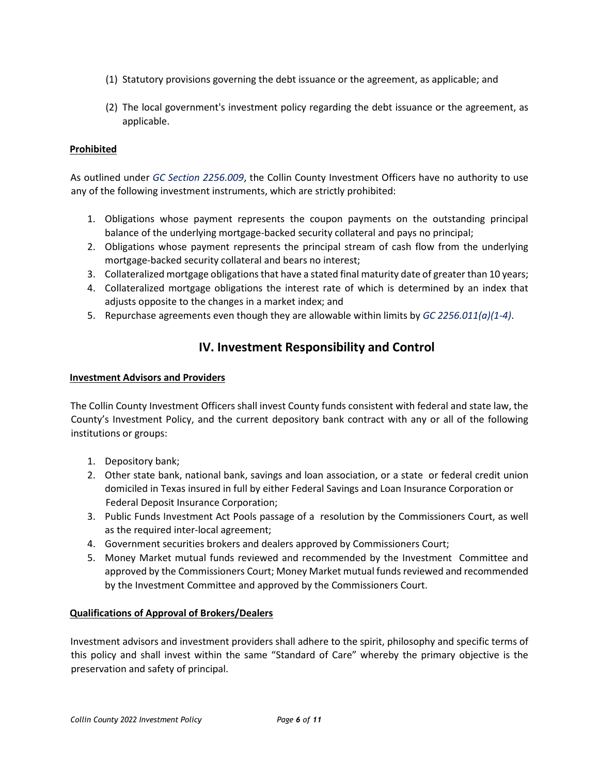- (1) Statutory provisions governing the debt issuance or the agreement, as applicable; and
- (2) The local government's investment policy regarding the debt issuance or the agreement, as applicable.

### **Prohibited**

As outlined under *GC Section 2256.009*, the Collin County Investment Officers have no authority to use any of the following investment instruments, which are strictly prohibited:

- 1. Obligations whose payment represents the coupon payments on the outstanding principal balance of the underlying mortgage-backed security collateral and pays no principal;
- 2. Obligations whose payment represents the principal stream of cash flow from the underlying mortgage‐backed security collateral and bears no interest;
- 3. Collateralized mortgage obligations that have a stated final maturity date of greater than 10 years;
- 4. Collateralized mortgage obligations the interest rate of which is determined by an index that adjusts opposite to the changes in a market index; and
- 5. Repurchase agreements even though they are allowable within limits by *GC 2256.011(a)(1‐4)*.

# **IV. Investment Responsibility and Control**

#### **Investment Advisors and Providers**

The Collin County Investment Officers shall invest County funds consistent with federal and state law, the County's Investment Policy, and the current depository bank contract with any or all of the following institutions or groups:

- 1. Depository bank;
- 2. Other state bank, national bank, savings and loan association, or a state or federal credit union domiciled in Texas insured in full by either Federal Savings and Loan Insurance Corporation or Federal Deposit Insurance Corporation;
- 3. Public Funds Investment Act Pools passage of a resolution by the Commissioners Court, as well as the required inter‐local agreement;
- 4. Government securities brokers and dealers approved by Commissioners Court;
- 5. Money Market mutual funds reviewed and recommended by the Investment Committee and approved by the Commissioners Court; Money Market mutual funds reviewed and recommended by the Investment Committee and approved by the Commissioners Court.

### **Qualifications of Approval of Brokers/Dealers**

Investment advisors and investment providers shall adhere to the spirit, philosophy and specific terms of this policy and shall invest within the same "Standard of Care" whereby the primary objective is the preservation and safety of principal.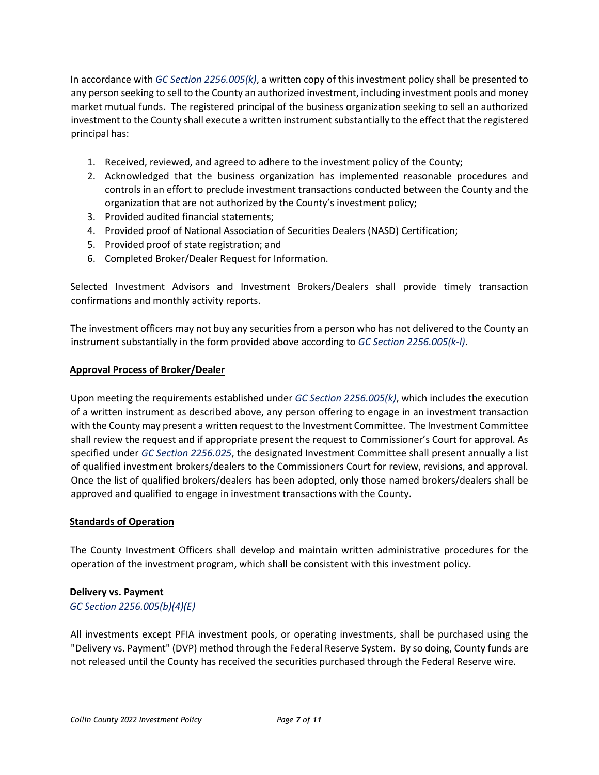In accordance with *GC Section 2256.005(k)*, a written copy of this investment policy shall be presented to any person seeking to sell to the County an authorized investment, including investment pools and money market mutual funds. The registered principal of the business organization seeking to sell an authorized investment to the County shall execute a written instrument substantially to the effect that the registered principal has:

- 1. Received, reviewed, and agreed to adhere to the investment policy of the County;
- 2. Acknowledged that the business organization has implemented reasonable procedures and controls in an effort to preclude investment transactions conducted between the County and the organization that are not authorized by the County's investment policy;
- 3. Provided audited financial statements;
- 4. Provided proof of National Association of Securities Dealers (NASD) Certification;
- 5. Provided proof of state registration; and
- 6. Completed Broker/Dealer Request for Information.

Selected Investment Advisors and Investment Brokers/Dealers shall provide timely transaction confirmations and monthly activity reports.

The investment officers may not buy any securities from a person who has not delivered to the County an instrument substantially in the form provided above according to *GC Section 2256.005(k‐l)*.

#### **Approval Process of Broker/Dealer**

Upon meeting the requirements established under *GC Section 2256.005(k)*, which includes the execution of a written instrument as described above, any person offering to engage in an investment transaction with the County may present a written request to the Investment Committee. The Investment Committee shall review the request and if appropriate present the request to Commissioner's Court for approval. As specified under *GC Section 2256.025*, the designated Investment Committee shall present annually a list of qualified investment brokers/dealers to the Commissioners Court for review, revisions, and approval. Once the list of qualified brokers/dealers has been adopted, only those named brokers/dealers shall be approved and qualified to engage in investment transactions with the County.

### **Standards of Operation**

The County Investment Officers shall develop and maintain written administrative procedures for the operation of the investment program, which shall be consistent with this investment policy.

### **Delivery vs. Payment**

### *GC Section 2256.005(b)(4)(E)*

All investments except PFIA investment pools, or operating investments, shall be purchased using the "Delivery vs. Payment" (DVP) method through the Federal Reserve System. By so doing, County funds are not released until the County has received the securities purchased through the Federal Reserve wire.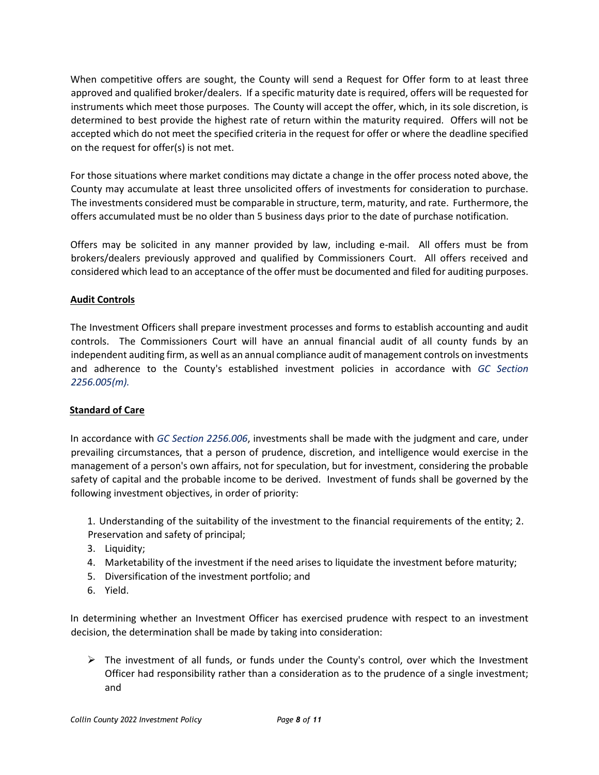When competitive offers are sought, the County will send a Request for Offer form to at least three approved and qualified broker/dealers. If a specific maturity date is required, offers will be requested for instruments which meet those purposes. The County will accept the offer, which, in its sole discretion, is determined to best provide the highest rate of return within the maturity required. Offers will not be accepted which do not meet the specified criteria in the request for offer or where the deadline specified on the request for offer(s) is not met.

For those situations where market conditions may dictate a change in the offer process noted above, the County may accumulate at least three unsolicited offers of investments for consideration to purchase. The investments considered must be comparable in structure, term, maturity, and rate. Furthermore, the offers accumulated must be no older than 5 business days prior to the date of purchase notification.

Offers may be solicited in any manner provided by law, including e‐mail. All offers must be from brokers/dealers previously approved and qualified by Commissioners Court. All offers received and considered which lead to an acceptance of the offer must be documented and filed for auditing purposes.

### **Audit Controls**

The Investment Officers shall prepare investment processes and forms to establish accounting and audit controls. The Commissioners Court will have an annual financial audit of all county funds by an independent auditing firm, as well as an annual compliance audit of management controls on investments and adherence to the County's established investment policies in accordance with *GC Section 2256.005(m).* 

## **Standard of Care**

In accordance with *GC Section 2256.006*, investments shall be made with the judgment and care, under prevailing circumstances, that a person of prudence, discretion, and intelligence would exercise in the management of a person's own affairs, not for speculation, but for investment, considering the probable safety of capital and the probable income to be derived. Investment of funds shall be governed by the following investment objectives, in order of priority:

1. Understanding of the suitability of the investment to the financial requirements of the entity; 2. Preservation and safety of principal;

- 3. Liquidity;
- 4. Marketability of the investment if the need arises to liquidate the investment before maturity;
- 5. Diversification of the investment portfolio; and
- 6. Yield.

In determining whether an Investment Officer has exercised prudence with respect to an investment decision, the determination shall be made by taking into consideration:

 $\triangleright$  The investment of all funds, or funds under the County's control, over which the Investment Officer had responsibility rather than a consideration as to the prudence of a single investment; and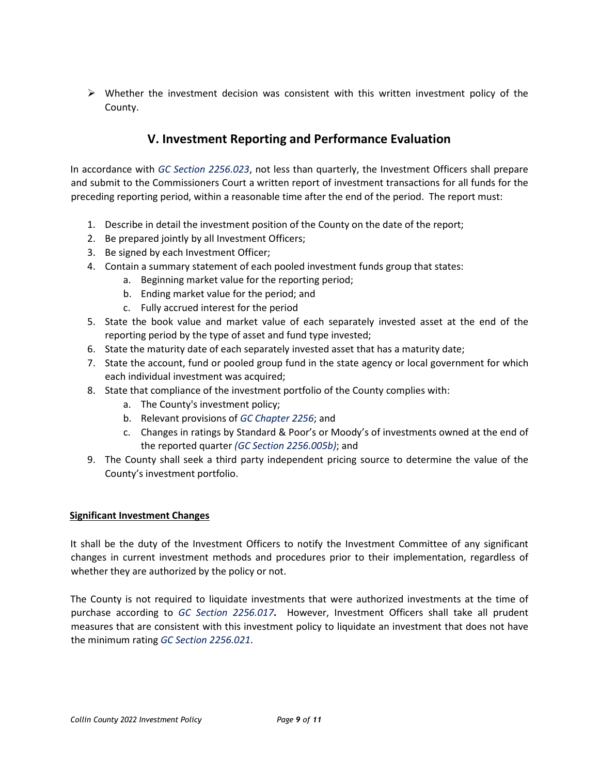$\triangleright$  Whether the investment decision was consistent with this written investment policy of the County.

# **V. Investment Reporting and Performance Evaluation**

In accordance with *GC Section 2256.023*, not less than quarterly, the Investment Officers shall prepare and submit to the Commissioners Court a written report of investment transactions for all funds for the preceding reporting period, within a reasonable time after the end of the period. The report must:

- 1. Describe in detail the investment position of the County on the date of the report;
- 2. Be prepared jointly by all Investment Officers;
- 3. Be signed by each Investment Officer;
- 4. Contain a summary statement of each pooled investment funds group that states:
	- a. Beginning market value for the reporting period;
	- b. Ending market value for the period; and
	- c. Fully accrued interest for the period
- 5. State the book value and market value of each separately invested asset at the end of the reporting period by the type of asset and fund type invested;
- 6. State the maturity date of each separately invested asset that has a maturity date;
- 7. State the account, fund or pooled group fund in the state agency or local government for which each individual investment was acquired;
- 8. State that compliance of the investment portfolio of the County complies with:
	- a. The County's investment policy;
	- b. Relevant provisions of *GC Chapter 2256*; and
	- c. Changes in ratings by Standard & Poor's or Moody's of investments owned at the end of the reported quarter *(GC Section 2256.005b)*; and
- 9. The County shall seek a third party independent pricing source to determine the value of the County's investment portfolio.

### **Significant Investment Changes**

It shall be the duty of the Investment Officers to notify the Investment Committee of any significant changes in current investment methods and procedures prior to their implementation, regardless of whether they are authorized by the policy or not.

The County is not required to liquidate investments that were authorized investments at the time of purchase according to *GC Section 2256.017***.** However, Investment Officers shall take all prudent measures that are consistent with this investment policy to liquidate an investment that does not have the minimum rating *GC Section 2256.021*.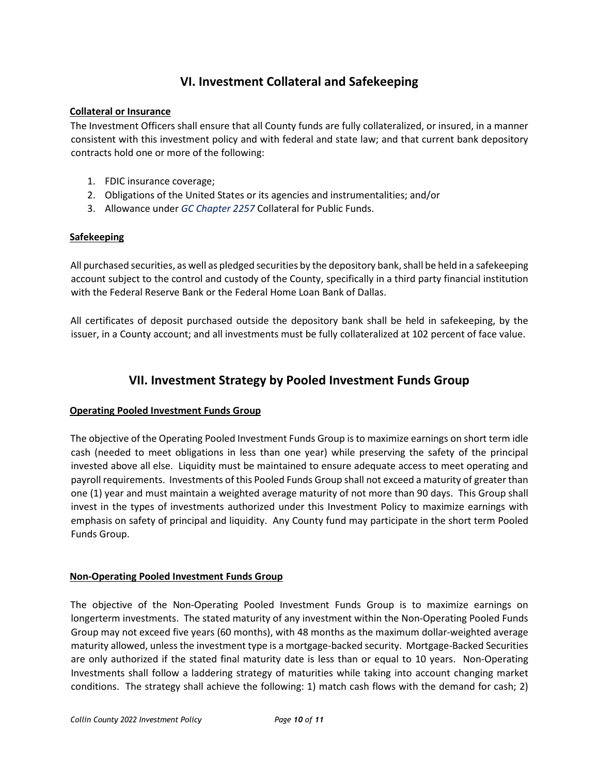# **VI. Investment Collateral and Safekeeping**

#### **Collateral or Insurance**

The Investment Officers shall ensure that all County funds are fully collateralized, or insured, in a manner consistent with this investment policy and with federal and state law; and that current bank depository contracts hold one or more of the following:

- 1. FDIC insurance coverage;
- 2. Obligations of the United States or its agencies and instrumentalities; and/or
- 3. Allowance under *GC Chapter 2257* Collateral for Public Funds.

### **Safekeeping**

All purchased securities, as well as pledged securities by the depository bank, shall be held in a safekeeping account subject to the control and custody of the County, specifically in a third party financial institution with the Federal Reserve Bank or the Federal Home Loan Bank of Dallas.

All certificates of deposit purchased outside the depository bank shall be held in safekeeping, by the issuer, in a County account; and all investments must be fully collateralized at 102 percent of face value.

## **VII. Investment Strategy by Pooled Investment Funds Group**

### **Operating Pooled Investment Funds Group**

The objective of the Operating Pooled Investment Funds Group is to maximize earnings on short term idle cash (needed to meet obligations in less than one year) while preserving the safety of the principal invested above all else. Liquidity must be maintained to ensure adequate access to meet operating and payroll requirements. Investments of this Pooled Funds Group shall not exceed a maturity of greater than one (1) year and must maintain a weighted average maturity of not more than 90 days. This Group shall invest in the types of investments authorized under this Investment Policy to maximize earnings with emphasis on safety of principal and liquidity. Any County fund may participate in the short term Pooled Funds Group.

### **Non‐Operating Pooled Investment Funds Group**

The objective of the Non‐Operating Pooled Investment Funds Group is to maximize earnings on longerterm investments. The stated maturity of any investment within the Non‐Operating Pooled Funds Group may not exceed five years (60 months), with 48 months as the maximum dollar‐weighted average maturity allowed, unless the investment type is a mortgage‐backed security. Mortgage‐Backed Securities are only authorized if the stated final maturity date is less than or equal to 10 years. Non‐Operating Investments shall follow a laddering strategy of maturities while taking into account changing market conditions. The strategy shall achieve the following: 1) match cash flows with the demand for cash; 2)